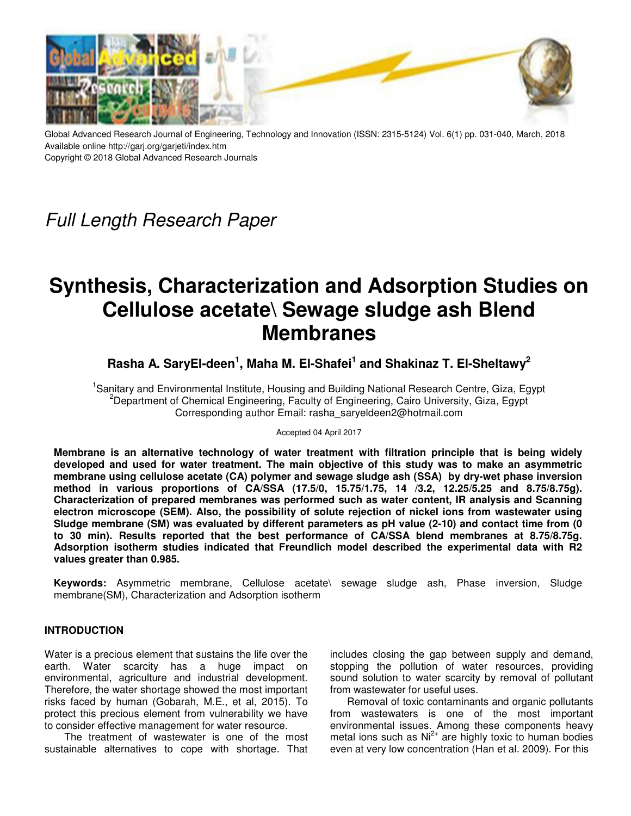

Global Advanced Research Journal of Engineering, Technology and Innovation (ISSN: 2315-5124) Vol. 6(1) pp. 031-040, March, 2018 Available online http://garj.org/garjeti/index.htm Copyright © 2018 Global Advanced Research Journals

Full Length Research Paper

# **Synthesis, Characterization and Adsorption Studies on Cellulose acetate\ Sewage sludge ash Blend Membranes**

**Rasha A. SaryEl-deen<sup>1</sup> , Maha M. El-Shafei<sup>1</sup> and Shakinaz T. El-Sheltawy<sup>2</sup>**

<sup>1</sup>Sanitary and Environmental Institute, Housing and Building National Research Centre, Giza, Egypt <sup>2</sup>Department of Chemical Engineering, Faculty of Engineering, Cairo University, Giza, Egypt Corresponding author Email: rasha\_saryeldeen2@hotmail.com

Accepted 04 April 2017

**Membrane is an alternative technology of water treatment with filtration principle that is being widely developed and used for water treatment. The main objective of this study was to make an asymmetric membrane using cellulose acetate (CA) polymer and sewage sludge ash (SSA) by dry-wet phase inversion method in various proportions of CA/SSA (17.5/0, 15.75/1.75, 14 /3.2, 12.25/5.25 and 8.75/8.75g). Characterization of prepared membranes was performed such as water content, IR analysis and Scanning electron microscope (SEM). Also, the possibility of solute rejection of nickel ions from wastewater using Sludge membrane (SM) was evaluated by different parameters as pH value (2-10) and contact time from (0 to 30 min). Results reported that the best performance of CA/SSA blend membranes at 8.75/8.75g. Adsorption isotherm studies indicated that Freundlich model described the experimental data with R2 values greater than 0.985.** 

**Keywords:** Asymmetric membrane, Cellulose acetate\ sewage sludge ash, Phase inversion, Sludge membrane(SM), Characterization and Adsorption isotherm

# **INTRODUCTION**

Water is a precious element that sustains the life over the earth. Water scarcity has a huge impact on environmental, agriculture and industrial development. Therefore, the water shortage showed the most important risks faced by human (Gobarah, M.E., et al, 2015). To protect this precious element from vulnerability we have to consider effective management for water resource.

 The treatment of wastewater is one of the most sustainable alternatives to cope with shortage. That

includes closing the gap between supply and demand, stopping the pollution of water resources, providing sound solution to water scarcity by removal of pollutant from wastewater for useful uses.

 Removal of toxic contaminants and organic pollutants from wastewaters is one of the most important environmental issues. Among these components heavy metal ions such as  $Ni<sup>2+</sup>$  are highly toxic to human bodies even at very low concentration (Han et al. 2009). For this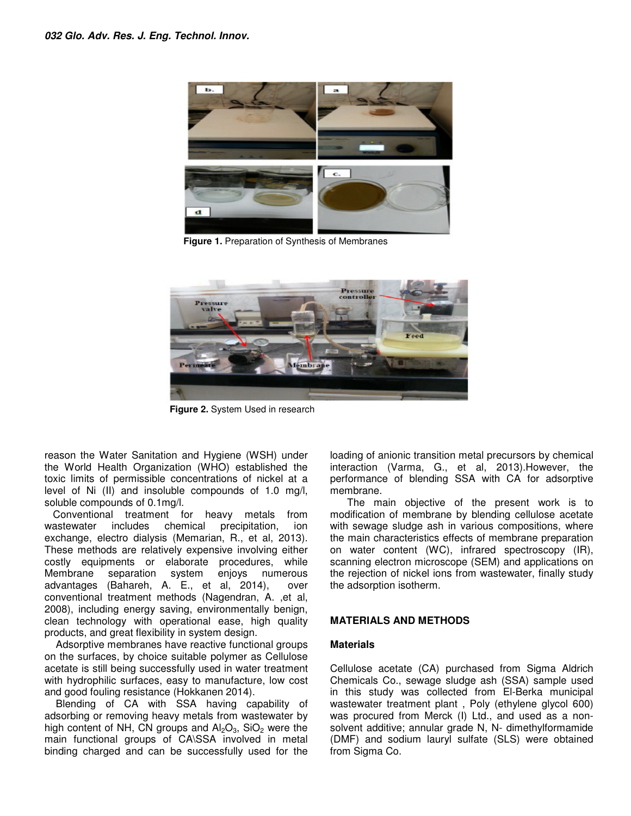

**Figure 1.** Preparation of Synthesis of Membranes



**Figure 2.** System Used in research

reason the Water Sanitation and Hygiene (WSH) under the World Health Organization (WHO) established the toxic limits of permissible concentrations of nickel at a level of Ni (II) and insoluble compounds of 1.0 mg/l, soluble compounds of 0.1mg/l.

 Conventional treatment for heavy metals from wastewater includes chemical precipitation, ion exchange, electro dialysis (Memarian, R., et al, 2013). These methods are relatively expensive involving either costly equipments or elaborate procedures, while Membrane separation system enjoys numerous advantages (Bahareh, A. E., et al, 2014), over conventional treatment methods (Nagendran, A. ,et al, 2008), including energy saving, environmentally benign, clean technology with operational ease, high quality products, and great flexibility in system design.

 Adsorptive membranes have reactive functional groups on the surfaces, by choice suitable polymer as Cellulose acetate is still being successfully used in water treatment with hydrophilic surfaces, easy to manufacture, low cost and good fouling resistance (Hokkanen 2014).

 Blending of CA with SSA having capability of adsorbing or removing heavy metals from wastewater by high content of NH, CN groups and  $Al_2O_3$ , SiO<sub>2</sub> were the main functional groups of CA\SSA involved in metal binding charged and can be successfully used for the

loading of anionic transition metal precursors by chemical interaction (Varma, G., et al, 2013).However, the performance of blending SSA with CA for adsorptive membrane.

 The main objective of the present work is to modification of membrane by blending cellulose acetate with sewage sludge ash in various compositions, where the main characteristics effects of membrane preparation on water content (WC), infrared spectroscopy (IR), scanning electron microscope (SEM) and applications on the rejection of nickel ions from wastewater, finally study the adsorption isotherm.

## **MATERIALS AND METHODS**

## **Materials**

Cellulose acetate (CA) purchased from Sigma Aldrich Chemicals Co., sewage sludge ash (SSA) sample used in this study was collected from El-Berka municipal wastewater treatment plant , Poly (ethylene glycol 600) was procured from Merck (I) Ltd., and used as a nonsolvent additive; annular grade N, N- dimethylformamide (DMF) and sodium lauryl sulfate (SLS) were obtained from Sigma Co.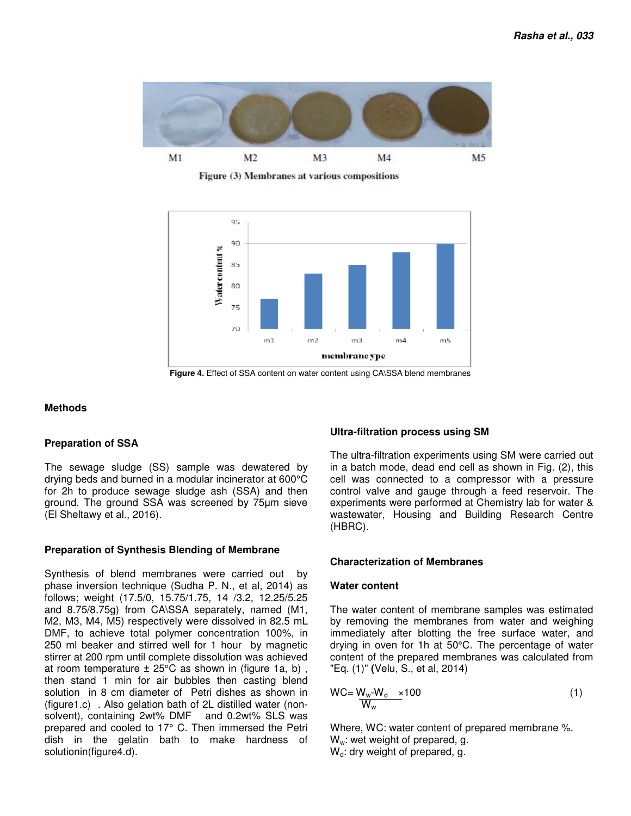

Figure (3) Membranes at various compositions



**Figure 4.** Effect of SSA content on water content using CA\SSA blend membranes

## **Methods**

## **Preparation of SSA**

The sewage sludge (SS) sample was dewatered by drying beds and burned in a modular incinerator at 600°C for 2h to produce sewage sludge ash (SSA) and then ground. The ground SSA was screened by 75µm sieve (El Sheltawy et al., 2016).

# **Preparation of Synthesis Blending of Membrane**

Synthesis of blend membranes were carried out by phase inversion technique (Sudha P. N., et al, 2014) as follows; weight (17.5/0, 15.75/1.75, 14 /3.2, 12.25/5.25 and 8.75/8.75g) from CA\SSA separately, named (M1, M2, M3, M4, M5) respectively were dissolved in 82.5 mL DMF, to achieve total polymer concentration 100%, in 250 ml beaker and stirred well for 1 hour by magnetic stirrer at 200 rpm until complete dissolution was achieved at room temperature  $\pm$  25°C as shown in (figure 1a, b), then stand 1 min for air bubbles then casting blend solution in 8 cm diameter of Petri dishes as shown in (figure1.c) . Also gelation bath of 2L distilled water (nonsolvent), containing 2wt% DMF and 0.2wt% SLS was prepared and cooled to 17° C. Then immersed the Petri dish in the gelatin bath to make hardness of solutionin(figure4.d).

# **Ultra-filtration process using SM**

The ultra-filtration experiments using SM were carried out in a batch mode, dead end cell as shown in Fig. (2), this cell was connected to a compressor with a pressure control valve and gauge through a feed reservoir. The experiments were performed at Chemistry lab for water & wastewater, Housing and Building Research Centre (HBRC).

## **Characterization of Membranes**

## **Water content**

The water content of membrane samples was estimated by removing the membranes from water and weighing immediately after blotting the free surface water, and drying in oven for 1h at 50°C. The percentage of water content of the prepared membranes was calculated from "Eq. (1)" **(**Velu, S., et al, 2014)

$$
WC = \frac{W_w - W_d \times 100}{W_w} \tag{1}
$$

Where, WC: water content of prepared membrane %. W<sub>w</sub>: wet weight of prepared, g.  $W_d$ : dry weight of prepared, g.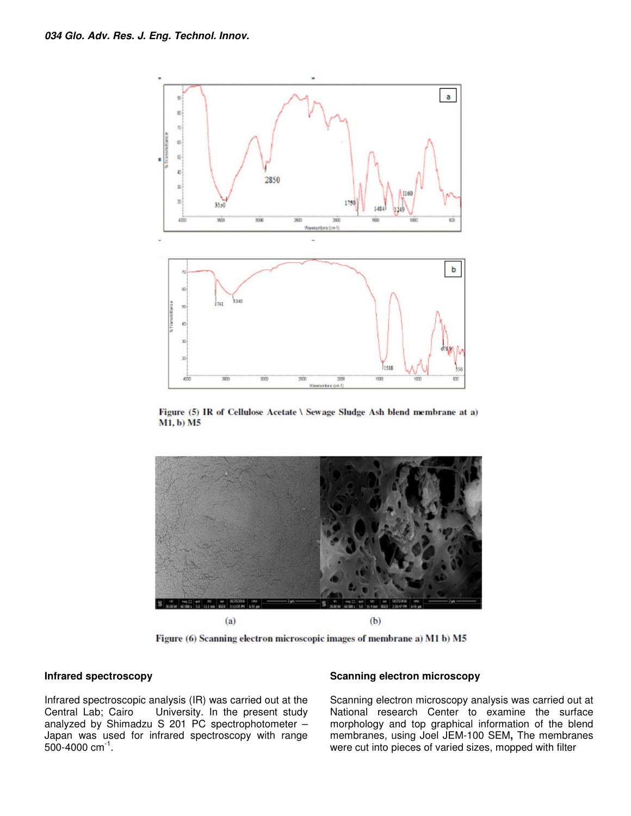

Figure (5) IR of Cellulose Acetate \ Sewage Sludge Ash blend membrane at a) M1, b) M5



Figure (6) Scanning electron microscopic images of membrane a) M1 b) M5

#### **Infrared spectroscopy**

Infrared spectroscopic analysis (IR) was carried out at the Central Lab; Cairo University. In the present study analyzed by Shimadzu S 201 PC spectrophotometer – Japan was used for infrared spectroscopy with range 500-4000 cm $^{-1}$ .

#### **Scanning electron microscopy**

Scanning electron microscopy analysis was carried out at National research Center to examine the surface morphology and top graphical information of the blend membranes, using Joel JEM-100 SEM**,** The membranes were cut into pieces of varied sizes, mopped with filter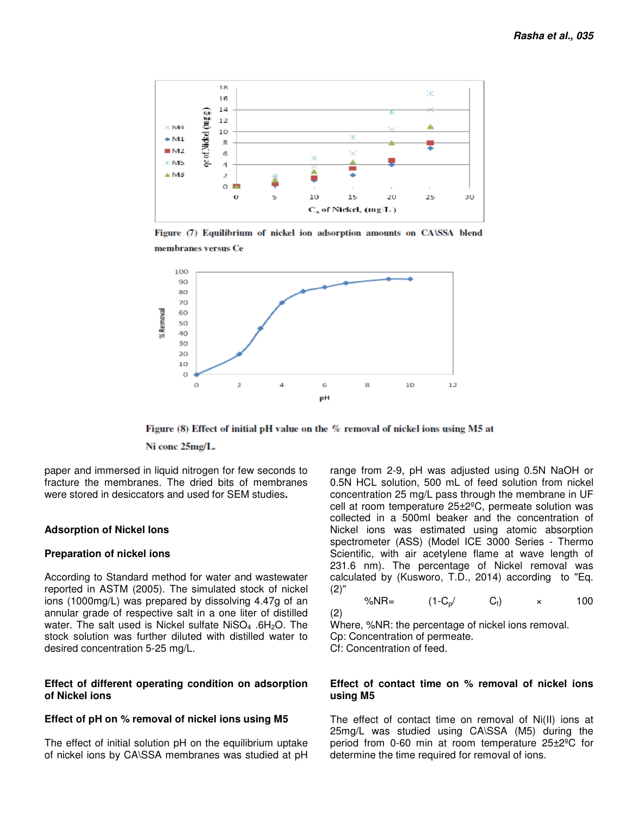

Figure (7) Equilibrium of nickel ion adsorption amounts on CA\SSA blend membranes versus Ce



Figure (8) Effect of initial pH value on the % removal of nickel ions using M5 at

#### Ni conc 25mg/L.

paper and immersed in liquid nitrogen for few seconds to fracture the membranes. The dried bits of membranes were stored in desiccators and used for SEM studies**.** 

#### **Adsorption of Nickel Ions**

#### **Preparation of nickel ions**

According to Standard method for water and wastewater reported in ASTM (2005). The simulated stock of nickel ions (1000mg/L) was prepared by dissolving 4.47g of an annular grade of respective salt in a one liter of distilled water. The salt used is Nickel sulfate  $NISO<sub>4</sub>$ .6H<sub>2</sub>O. The stock solution was further diluted with distilled water to desired concentration 5-25 mg/L.

#### **Effect of different operating condition on adsorption of Nickel ions**

#### **Effect of pH on % removal of nickel ions using M5**

The effect of initial solution pH on the equilibrium uptake of nickel ions by CA\SSA membranes was studied at pH

range from 2-9, pH was adjusted using 0.5N NaOH or 0.5N HCL solution, 500 mL of feed solution from nickel concentration 25 mg/L pass through the membrane in UF cell at room temperature 25±2ºC, permeate solution was collected in a 500ml beaker and the concentration of Nickel ions was estimated using atomic absorption spectrometer (ASS) (Model ICE 3000 Series - Thermo Scientific, with air acetylene flame at wave length of 231.6 nm). The percentage of Nickel removal was calculated by (Kusworo, T.D., 2014) according to "Eq. (2)"

$$
\%NR = \qquad (1-C_p/\qquad C_f) \qquad \times \qquad 100
$$

(2)

Where, %NR: the percentage of nickel ions removal. Cp: Concentration of permeate. Cf: Concentration of feed.

#### **Effect of contact time on % removal of nickel ions using M5**

The effect of contact time on removal of Ni(II) ions at 25mg/L was studied using CA\SSA (M5) during the period from 0-60 min at room temperature 25±2ºC for determine the time required for removal of ions.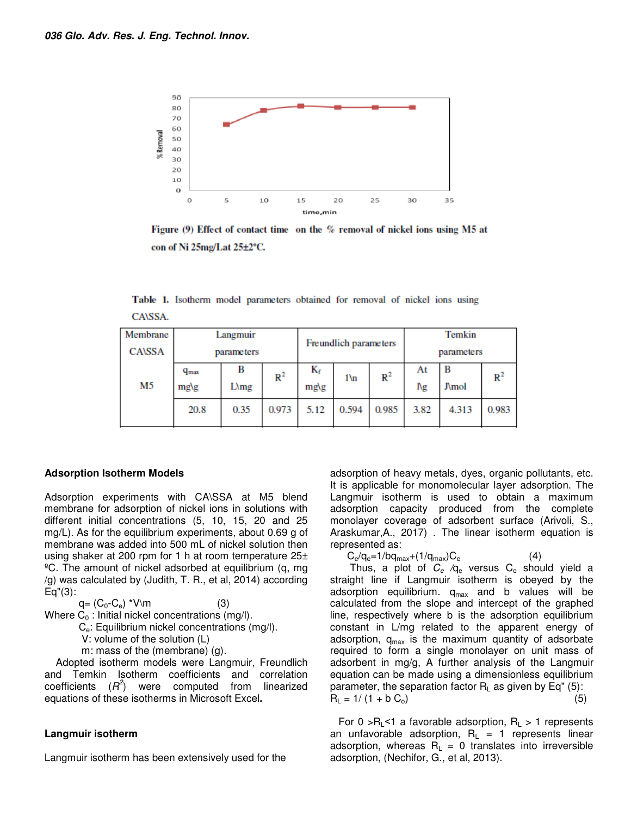

Figure (9) Effect of contact time on the % removal of nickel ions using M5 at con of Ni 25mg/Lat 25±2°C.

Table 1. Isotherm model parameters obtained for removal of nickel ions using CA\SSA.

| Membrane      | Langmuir                 |                    |       | Freundlich parameters |              |       | <b>Temkin</b> |                   |       |
|---------------|--------------------------|--------------------|-------|-----------------------|--------------|-------|---------------|-------------------|-------|
| <b>CA\SSA</b> | <i>parameters</i>        |                    |       |                       |              |       | parameters    |                   |       |
| M5            | $q_{\text{max}}$<br>mg\g | в<br>$L\lambda$ mg | $R^2$ | K,<br>mg\g            | $1\text{ln}$ | $R^2$ | At<br>ľу      | B<br><b>J\mol</b> | $R^2$ |
|               | 20.8                     | 0.35               | 0.973 | 5.12                  | 0.594        | 0.985 | 3.82          | 4.313             | 0.983 |

## **Adsorption Isotherm Models**

Adsorption experiments with CA\SSA at M5 blend membrane for adsorption of nickel ions in solutions with different initial concentrations (5, 10, 15, 20 and 25 mg/L). As for the equilibrium experiments, about 0.69 g of membrane was added into 500 mL of nickel solution then using shaker at 200 rpm for 1 h at room temperature 25± ºC. The amount of nickel adsorbed at equilibrium (q, mg /g) was calculated by (Judith, T. R., et al, 2014) according Eq"(3):

 $q = (C_0 - C_e) * V \cdot m$  (3) Where  $C_0$ : Initial nickel concentrations (mg/l).

Ce: Equilibrium nickel concentrations (mg/l).

V: volume of the solution (L)

m: mass of the (membrane) (g).

 Adopted isotherm models were Langmuir, Freundlich and Temkin Isotherm coefficients and correlation coefficients  $(R^2)$  were computed from linearized equations of these isotherms in Microsoft Excel**.** 

## **Langmuir isotherm**

Langmuir isotherm has been extensively used for the

adsorption of heavy metals, dyes, organic pollutants, etc. It is applicable for monomolecular layer adsorption. The Langmuir isotherm is used to obtain a maximum adsorption capacity produced from the complete monolayer coverage of adsorbent surface (Arivoli, S., Araskumar,A., 2017) . The linear isotherm equation is represented as:

 $C_e/q_e=1/bq_{max}+(1/q_{max})C_e$  (4)

Thus, a plot of  $C_e$  /q<sub>e</sub> versus  $C_e$  should yield a straight line if Langmuir isotherm is obeyed by the adsorption equilibrium.  $q_{max}$  and b values will be calculated from the slope and intercept of the graphed line, respectively where b is the adsorption equilibrium constant in L/mg related to the apparent energy of adsorption,  $q_{max}$  is the maximum quantity of adsorbate required to form a single monolayer on unit mass of adsorbent in mg/g, A further analysis of the Langmuir equation can be made using a dimensionless equilibrium parameter, the separation factor  $R<sub>L</sub>$  as given by Eq" (5):  $R_{L} = 1/(1 + b C_0)$  (5)

For  $0 > R_{L}$ <1 a favorable adsorption,  $R_{L} > 1$  represents an unfavorable adsorption,  $R_L = 1$  represents linear adsorption, whereas  $R_L = 0$  translates into irreversible adsorption, (Nechifor, G., et al, 2013).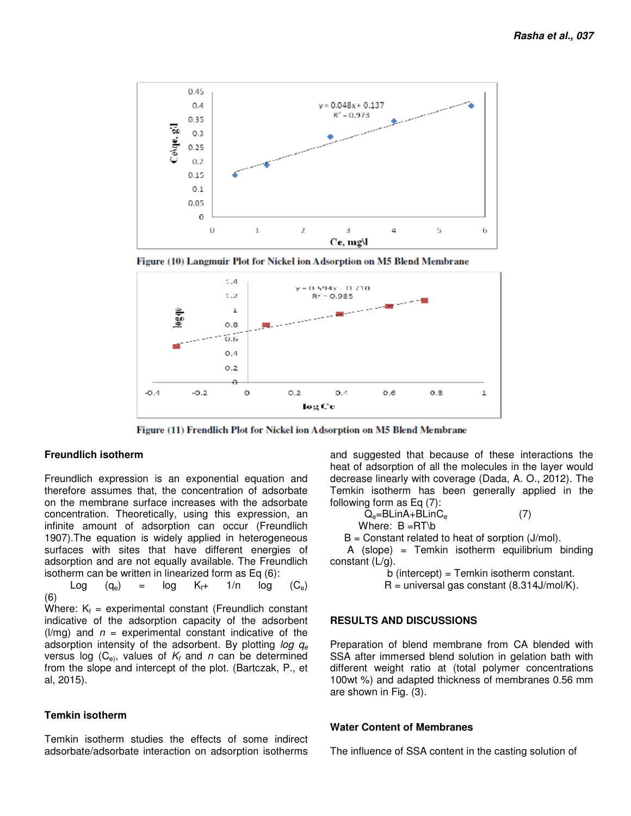

Figure (10) Langmuir Plot for Nickel ion Adsorption on M5 Blend Membrane



Figure (11) Frendlich Plot for Nickel ion Adsorption on M5 Blend Membrane

#### **Freundlich isotherm**

Freundlich expression is an exponential equation and therefore assumes that, the concentration of adsorbate on the membrane surface increases with the adsorbate concentration. Theoretically, using this expression, an infinite amount of adsorption can occur (Freundlich 1907).The equation is widely applied in heterogeneous surfaces with sites that have different energies of adsorption and are not equally available. The Freundlich isotherm can be written in linearized form as Eq (6):

 $\sf Log$   $(\sf q_e)$  = log  $\sf K_{\sf f}+$  1/n log  $(\sf C_{\sf e})$  $(C_e)$ (6)

Where:  $K_f$  = experimental constant (Freundlich constant indicative of the adsorption capacity of the adsorbent ( $l/mq$ ) and  $n =$  experimental constant indicative of the adsorption intensity of the adsorbent. By plotting log  $q_e$ versus log ( $C_{\rm e}$ ), values of  $K_{\rm f}$  and n can be determined from the slope and intercept of the plot. (Bartczak, P., et al, 2015).

#### **Temkin isotherm**

Temkin isotherm studies the effects of some indirect adsorbate/adsorbate interaction on adsorption isotherms and suggested that because of these interactions the heat of adsorption of all the molecules in the layer would decrease linearly with coverage (Dada, A. O., 2012). The Temkin isotherm has been generally applied in the following form as Eq (7):

$$
Q_e = BlinA + BlinC_e
$$
 (7)  
Where: B = RT\b

 $B =$  Constant related to heat of sorption  $(J/mol)$ .

 A (slope) = Temkin isotherm equilibrium binding constant (L/g).

b (intercept) = Temkin isotherm constant.

R = universal gas constant (8.314J/mol/K).

#### **RESULTS AND DISCUSSIONS**

Preparation of blend membrane from CA blended with SSA after immersed blend solution in gelation bath with different weight ratio at (total polymer concentrations 100wt %) and adapted thickness of membranes 0.56 mm are shown in Fig. (3).

#### **Water Content of Membranes**

The influence of SSA content in the casting solution of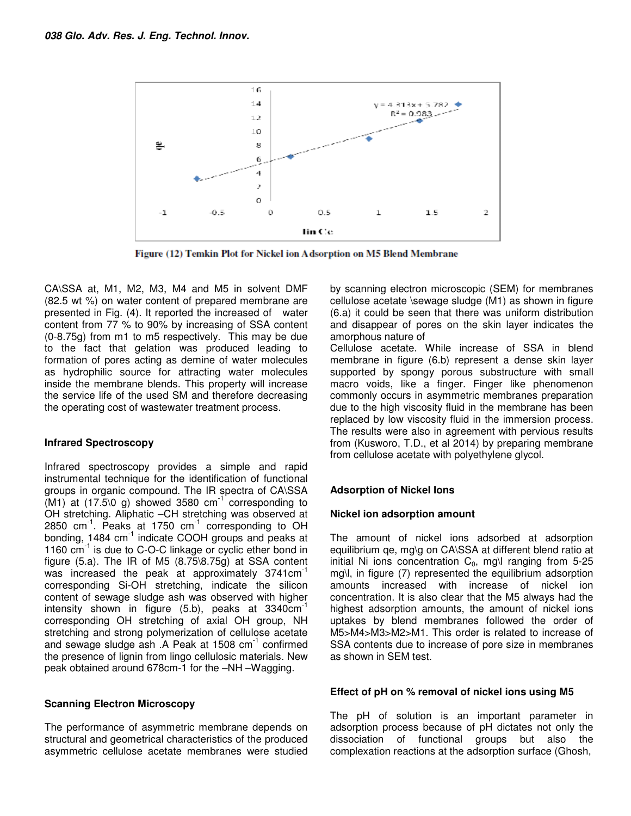

Figure (12) Temkin Plot for Nickel ion Adsorption on M5 Blend Membrane

CA\SSA at, M1, M2, M3, M4 and M5 in solvent DMF (82.5 wt %) on water content of prepared membrane are presented in Fig. (4). It reported the increased of water content from 77 % to 90% by increasing of SSA content (0-8.75g) from m1 to m5 respectively. This may be due to the fact that gelation was produced leading to formation of pores acting as demine of water molecules as hydrophilic source for attracting water molecules inside the membrane blends. This property will increase the service life of the used SM and therefore decreasing the operating cost of wastewater treatment process.

## **Infrared Spectroscopy**

Infrared spectroscopy provides a simple and rapid instrumental technique for the identification of functional groups in organic compound. The IR spectra of CA\SSA  $(M1)$  at  $(17.5)$ <sup>O</sup> g) showed 3580 cm<sup>-1</sup> corresponding to OH stretching. Aliphatic –CH stretching was observed at 2850  $cm^{-1}$ . Peaks at 1750  $cm^{-1}$  corresponding to OH bonding, 1484 cm<sup>-1</sup> indicate COOH groups and peaks at 1160 cm<sup>-1</sup> is due to C-O-C linkage or cyclic ether bond in figure  $(5.a)$ . The IR of M5  $(8.75\sqrt{8.75}g)$  at SSA content was increased the peak at approximately 3741cm<sup>-1</sup> corresponding Si-OH stretching, indicate the silicon content of sewage sludge ash was observed with higher intensity shown in figure  $(5.b)$ , peaks at 3340 $cm^{-1}$ corresponding OH stretching of axial OH group, NH stretching and strong polymerization of cellulose acetate and sewage sludge ash  $A$  Peak at 1508 cm<sup>-1</sup> confirmed the presence of lignin from lingo cellulosic materials. New peak obtained around 678cm-1 for the –NH –Wagging.

## **Scanning Electron Microscopy**

The performance of asymmetric membrane depends on structural and geometrical characteristics of the produced asymmetric cellulose acetate membranes were studied by scanning electron microscopic (SEM) for membranes cellulose acetate \sewage sludge (M1) as shown in figure (6.a) it could be seen that there was uniform distribution and disappear of pores on the skin layer indicates the amorphous nature of

Cellulose acetate. While increase of SSA in blend membrane in figure (6.b) represent a dense skin layer supported by spongy porous substructure with small macro voids, like a finger. Finger like phenomenon commonly occurs in asymmetric membranes preparation due to the high viscosity fluid in the membrane has been replaced by low viscosity fluid in the immersion process. The results were also in agreement with pervious results from (Kusworo, T.D., et al 2014) by preparing membrane from cellulose acetate with polyethylene glycol.

## **Adsorption of Nickel Ions**

## **Nickel ion adsorption amount**

The amount of nickel ions adsorbed at adsorption equilibrium qe, mg\g on CA\SSA at different blend ratio at initial Ni ions concentration  $C_0$ , mg\l ranging from 5-25 mg\l, in figure (7) represented the equilibrium adsorption amounts increased with increase of nickel ion concentration. It is also clear that the M5 always had the highest adsorption amounts, the amount of nickel ions uptakes by blend membranes followed the order of M5>M4>M3>M2>M1. This order is related to increase of SSA contents due to increase of pore size in membranes as shown in SEM test.

## **Effect of pH on % removal of nickel ions using M5**

The pH of solution is an important parameter in adsorption process because of pH dictates not only the dissociation of functional groups but also the complexation reactions at the adsorption surface (Ghosh,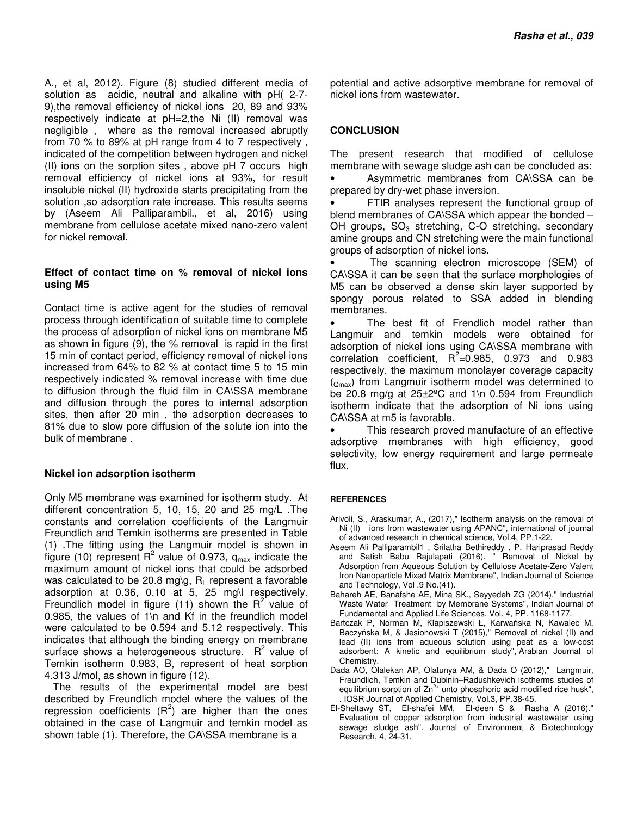A., et al, 2012). Figure (8) studied different media of solution as acidic, neutral and alkaline with pH( 2-7- 9),the removal efficiency of nickel ions 20, 89 and 93% respectively indicate at pH=2,the Ni (II) removal was negligible , where as the removal increased abruptly from 70 % to 89% at pH range from 4 to 7 respectively , indicated of the competition between hydrogen and nickel (II) ions on the sorption sites , above pH 7 occurs high removal efficiency of nickel ions at 93%, for result insoluble nickel (II) hydroxide starts precipitating from the solution ,so adsorption rate increase. This results seems by (Aseem Ali Palliparambil., et al, 2016) using membrane from cellulose acetate mixed nano-zero valent for nickel removal.

## **Effect of contact time on % removal of nickel ions using M5**

Contact time is active agent for the studies of removal process through identification of suitable time to complete the process of adsorption of nickel ions on membrane M5 as shown in figure (9), the % removal is rapid in the first 15 min of contact period, efficiency removal of nickel ions increased from 64% to 82 % at contact time 5 to 15 min respectively indicated % removal increase with time due to diffusion through the fluid film in CA\SSA membrane and diffusion through the pores to internal adsorption sites, then after 20 min , the adsorption decreases to 81% due to slow pore diffusion of the solute ion into the bulk of membrane .

## **Nickel ion adsorption isotherm**

Only M5 membrane was examined for isotherm study. At different concentration 5, 10, 15, 20 and 25 mg/L .The constants and correlation coefficients of the Langmuir Freundlich and Temkin isotherms are presented in Table (1) .The fitting using the Langmuir model is shown in figure (10) represent  $R^2$  value of 0.973,  $q_{max}$  indicate the maximum amount of nickel ions that could be adsorbed was calculated to be 20.8 mg\g,  $R_1$  represent a favorable adsorption at 0.36, 0.10 at 5, 25 mg\l respectively. Freundlich model in figure (11) shown the  $R^2$  value of 0.985, the values of 1\n and Kf in the freundlich model were calculated to be 0.594 and 5.12 respectively. This indicates that although the binding energy on membrane surface shows a heterogeneous structure.  $R^2$  value of Temkin isotherm 0.983, B, represent of heat sorption 4.313 J/mol, as shown in figure (12).

 The results of the experimental model are best described by Freundlich model where the values of the regression coefficients  $(R^2)$  are higher than the ones obtained in the case of Langmuir and temkin model as shown table (1). Therefore, the CA\SSA membrane is a

potential and active adsorptive membrane for removal of nickel ions from wastewater.

## **CONCLUSION**

The present research that modified of cellulose membrane with sewage sludge ash can be concluded as:

• Asymmetric membranes from CA\SSA can be prepared by dry-wet phase inversion.

FTIR analyses represent the functional group of blend membranes of CA\SSA which appear the bonded – OH groups,  $SO<sub>3</sub>$  stretching, C-O stretching, secondary amine groups and CN stretching were the main functional groups of adsorption of nickel ions.

The scanning electron microscope (SEM) of CA\SSA it can be seen that the surface morphologies of M5 can be observed a dense skin layer supported by spongy porous related to SSA added in blending membranes.

The best fit of Frendlich model rather than Langmuir and temkin models were obtained for adsorption of nickel ions using CA\SSA membrane with correlation coefficient,  $R^2 = 0.985$ , 0.973 and 0.983 respectively, the maximum monolayer coverage capacity  $_{\text{Omax}}$ ) from Langmuir isotherm model was determined to be 20.8 mg/g at  $25\pm2\degree$ C and 1\n 0.594 from Freundlich isotherm indicate that the adsorption of Ni ions using CA\SSA at m5 is favorable.

This research proved manufacture of an effective adsorptive membranes with high efficiency, good selectivity, low energy requirement and large permeate flux.

#### **REFERENCES**

- Arivoli, S., Araskumar, A., (2017)," Isotherm analysis on the removal of Ni (II) ions from wastewater using APANC", international of journal of advanced research in chemical science, Vol.4, PP.1-22.
- Aseem Ali Palliparambil1 , Srilatha Bethireddy , P. Hariprasad Reddy and Satish Babu Rajulapati (2016). " Removal of Nickel by Adsorption from Aqueous Solution by Cellulose Acetate-Zero Valent Iron Nanoparticle Mixed Matrix Membrane", Indian Journal of Science and Technology, Vol .9 No.(41).
- Bahareh AE, Banafshe AE, Mina SK., Seyyedeh ZG (2014)." Industrial Waste Water Treatment by Membrane Systems", Indian Journal of Fundamental and Applied Life Sciences, Vol. 4, PP. 1168-1177.
- Bartczak P, Norman M, Klapiszewski Ł, Karwańska N, Kawalec M, Baczyńska M, & Jesionowski T (2015)," Removal of nickel (II) and lead (II) ions from aqueous solution using peat as a low-cost adsorbent: A kinetic and equilibrium study", Arabian Journal of Chemistry.
- Dada AO, Olalekan AP, Olatunya AM, & Dada O (2012)," Langmuir, Freundlich, Temkin and Dubinin–Radushkevich isotherms studies of equilibrium sorption of  $Zn^{2+}$  unto phosphoric acid modified rice husk", . IOSR Journal of Applied Chemistry, Vol.3, PP.38-45.
- El-Sheltawy ST, El-shafei MM, El-deen S & Rasha A (2016)." Evaluation of copper adsorption from industrial wastewater using sewage sludge ash". Journal of Environment & Biotechnology Research, 4, 24-31.